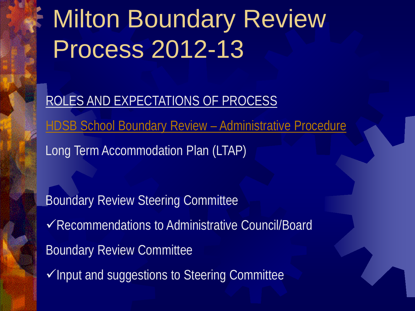## Milton Boundary Review Process 2012-13

ROLES AND EXPECTATIONS OF PROCESS HDSB School Boundary Review - Administrative Procedure Long Term Accommodation Plan (LTAP)

**Boundary Review Steering Committee** Recommendations to Administrative Council/Board Boundary Review Committee  $\checkmark$ Input and suggestions to Steering Committee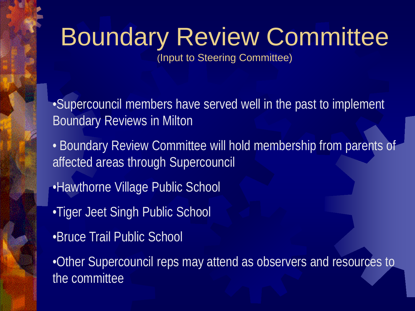# Boundary Review Committee

(Input to Steering Committee)

•Supercouncil members have served well in the past to implement Boundary Reviews in Milton

- Boundary Review Committee will hold membership from parents of affected areas through Supercouncil
- •Hawthorne Village Public School
- •Tiger Jeet Singh Public School
- •Bruce Trail Public School

•Other Supercouncil reps may attend as observers and resources to the committee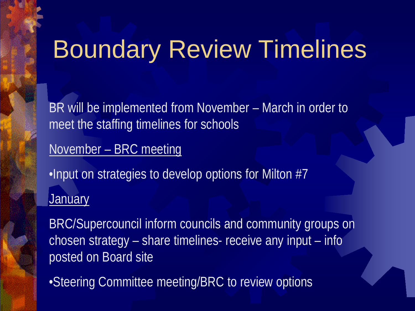### Boundary Review Timelines

BR will be implemented from November – March in order to meet the staffing timelines for schools

November – BRC meeting

•Input on strategies to develop options for Milton #7 **January** 

BRC/Supercouncil inform councils and community groups on chosen strategy – share timelines- receive any input – info posted on Board site

•Steering Committee meeting/BRC to review options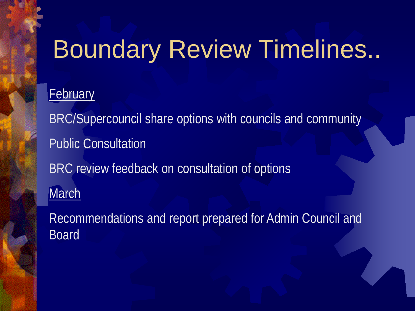## Boundary Review Timelines..

#### **February**

BRC/Supercouncil share options with councils and community Public Consultation BRC review feedback on consultation of options **March** 

Recommendations and report prepared for Admin Council and Board